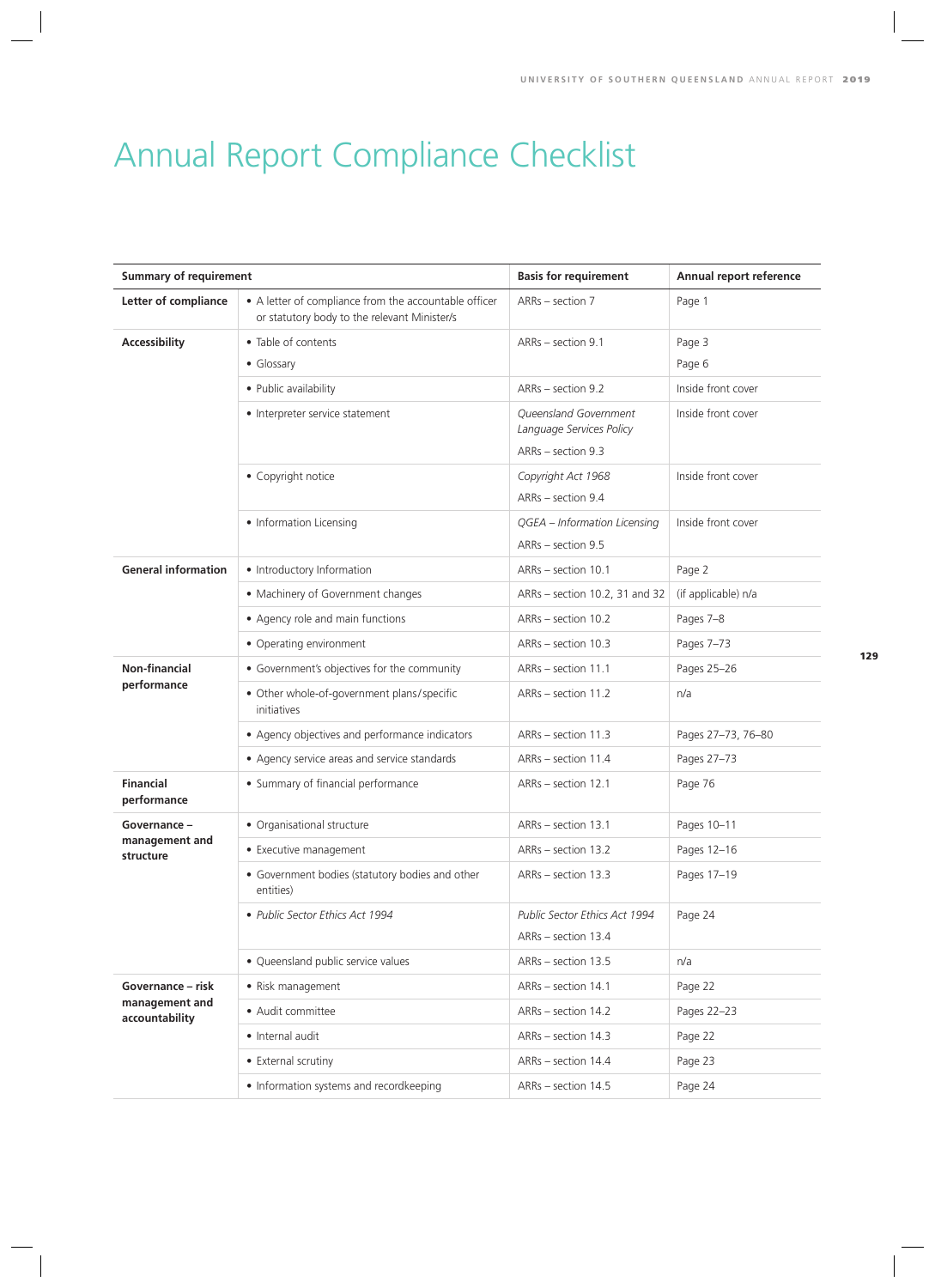## Annual Report Compliance Checklist

| <b>Summary of requirement</b>                         |                                                                                                       | <b>Basis for requirement</b>                                              | Annual report reference |
|-------------------------------------------------------|-------------------------------------------------------------------------------------------------------|---------------------------------------------------------------------------|-------------------------|
| Letter of compliance                                  | • A letter of compliance from the accountable officer<br>or statutory body to the relevant Minister/s | ARRs - section 7                                                          | Page 1                  |
| Accessibility                                         | • Table of contents<br>• Glossary                                                                     | ARRs - section 9.1                                                        | Page 3<br>Page 6        |
|                                                       | • Public availability                                                                                 | ARRs - section 9.2                                                        | Inside front cover      |
|                                                       | • Interpreter service statement                                                                       | Queensland Government<br>Language Services Policy<br>$ARRs - section 9.3$ | Inside front cover      |
|                                                       | • Copyright notice                                                                                    | Copyright Act 1968<br>ARRs - section 9.4                                  | Inside front cover      |
|                                                       | • Information Licensing                                                                               | QGEA - Information Licensing<br>ARRs - section 9.5                        | Inside front cover      |
| <b>General information</b>                            | • Introductory Information                                                                            | ARRs - section 10.1                                                       | Page 2                  |
|                                                       | • Machinery of Government changes                                                                     | ARRs - section 10.2, 31 and 32                                            | (if applicable) n/a     |
|                                                       | • Agency role and main functions                                                                      | ARRs - section 10.2                                                       | Pages 7-8               |
|                                                       | • Operating environment                                                                               | ARRs - section 10.3                                                       | Pages 7-73              |
| <b>Non-financial</b><br>performance                   | • Government's objectives for the community                                                           | ARRs - section 11.1                                                       | Pages 25-26             |
|                                                       | • Other whole-of-government plans/specific<br>initiatives                                             | ARRs - section 11.2                                                       | n/a                     |
|                                                       | • Agency objectives and performance indicators                                                        | ARRs - section 11.3                                                       | Pages 27-73, 76-80      |
|                                                       | • Agency service areas and service standards                                                          | ARRs - section 11.4                                                       | Pages 27-73             |
| <b>Financial</b><br>performance                       | • Summary of financial performance                                                                    | ARRs - section 12.1                                                       | Page 76                 |
| Governance -<br>management and<br>structure           | · Organisational structure                                                                            | ARRs - section 13.1                                                       | Pages 10-11             |
|                                                       | • Executive management                                                                                | ARRs - section 13.2                                                       | Pages 12-16             |
|                                                       | • Government bodies (statutory bodies and other<br>entities)                                          | ARRs - section 13.3                                                       | Pages 17-19             |
|                                                       | · Public Sector Ethics Act 1994                                                                       | Public Sector Ethics Act 1994<br>ARRs - section 13.4                      | Page 24                 |
|                                                       | · Queensland public service values                                                                    | ARRs - section 13.5                                                       | n/a                     |
| Governance – risk<br>management and<br>accountability | · Risk management                                                                                     | ARRs - section 14.1                                                       | Page 22                 |
|                                                       | • Audit committee                                                                                     | ARRs - section 14.2                                                       | Pages 22-23             |
|                                                       | • Internal audit                                                                                      | ARRs - section 14.3                                                       | Page 22                 |
|                                                       | • External scrutiny                                                                                   | ARRs - section 14.4                                                       | Page 23                 |
|                                                       | • Information systems and recordkeeping                                                               | ARRs - section 14.5                                                       | Page 24                 |